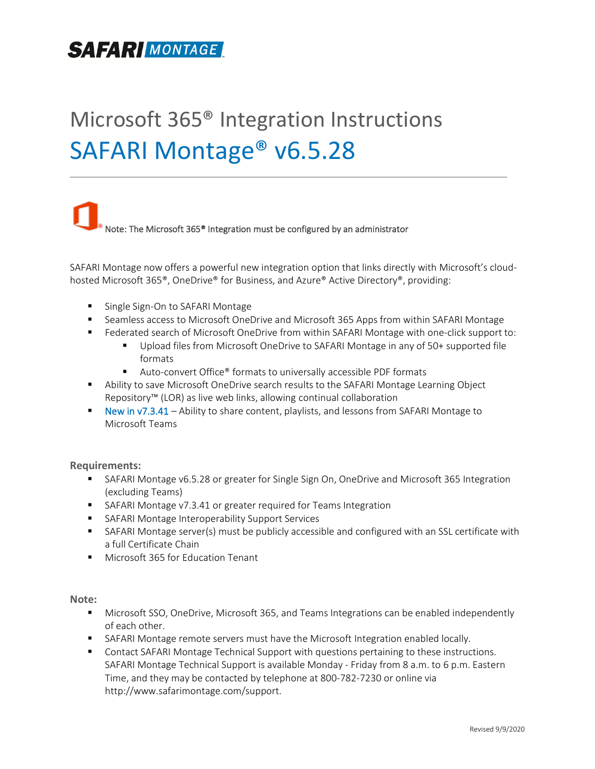# **SAFARIMONTAGE**

# Microsoft 365® Integration Instructions SAFARI Montage® v6.5.28

Note: The Microsoft 365<sup>®</sup> Integration must be configured by an administrator

SAFARI Montage now offers a powerful new integration option that links directly with Microsoft's cloudhosted Microsoft 365<sup>®</sup>, OneDrive® for Business, and Azure® Active Directory®, providing:

- Single Sign-On to SAFARI Montage
- Seamless access to Microsoft OneDrive and Microsoft 365 Apps from within SAFARI Montage
- Federated search of Microsoft OneDrive from within SAFARI Montage with one-click support to:
	- Upload files from Microsoft OneDrive to SAFARI Montage in any of 50+ supported file formats
	- Auto-convert Office® formats to universally accessible PDF formats
- Ability to save Microsoft OneDrive search results to the SAFARI Montage Learning Object Repository™ (LOR) as live web links, allowing continual collaboration
- New in v7.3.41 Ability to share content, playlists, and lessons from SAFARI Montage to Microsoft Teams

#### **Requirements:**

- **■** SAFARI Montage v6.5.28 or greater for Single Sign On, OneDrive and Microsoft 365 Integration (excluding Teams)
- SAFARI Montage v7.3.41 or greater required for Teams Integration
- SAFARI Montage Interoperability Support Services
- SAFARI Montage server(s) must be publicly accessible and configured with an SSL certificate with a full Certificate Chain
- Microsoft 365 for Education Tenant

**Note:**

- Microsoft SSO, OneDrive, Microsoft 365, and Teams Integrations can be enabled independently of each other.
- **EXECT ART MONTAGE 15 IN ART ART MONTAGE IN STARK INTEGRAL** Montage remotors SAFARI Montage remotes 10 SAFARI 0.
- **EXECOMATE:** Contact SAFARI Montage Technical Support with questions pertaining to these instructions. SAFARI Montage Technical Support is available Monday - Friday from 8 a.m. to 6 p.m. Eastern Time, and they may be contacted by telephone at 800-782-7230 or online via [http://www.safarimontage.com/support.](http://www.safarimontage.com/support)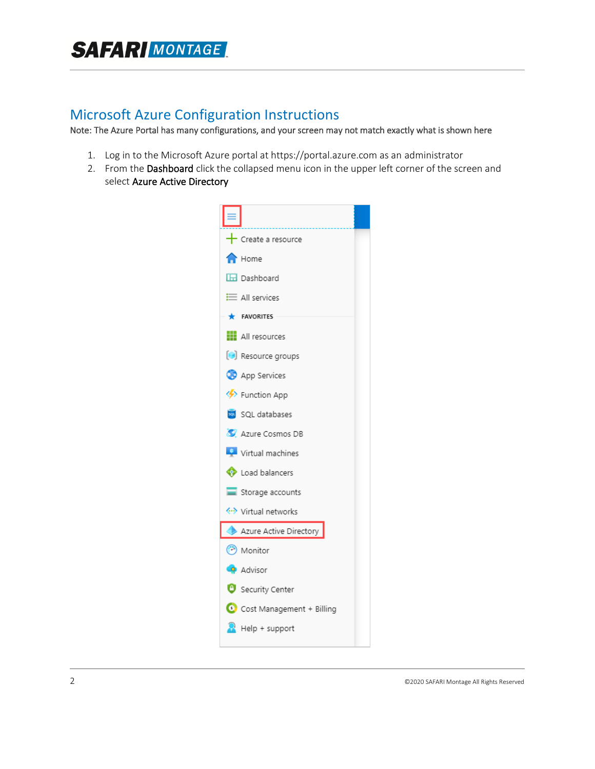### Microsoft Azure Configuration Instructions

Note: The Azure Portal has many configurations, and your screen may not match exactly what is shown here

- 1. Log in to the Microsoft Azure portal at https://portal.azure.com as an administrator
- 2. From the Dashboard click the collapsed menu icon in the upper left corner of the screen and select Azure Active Directory

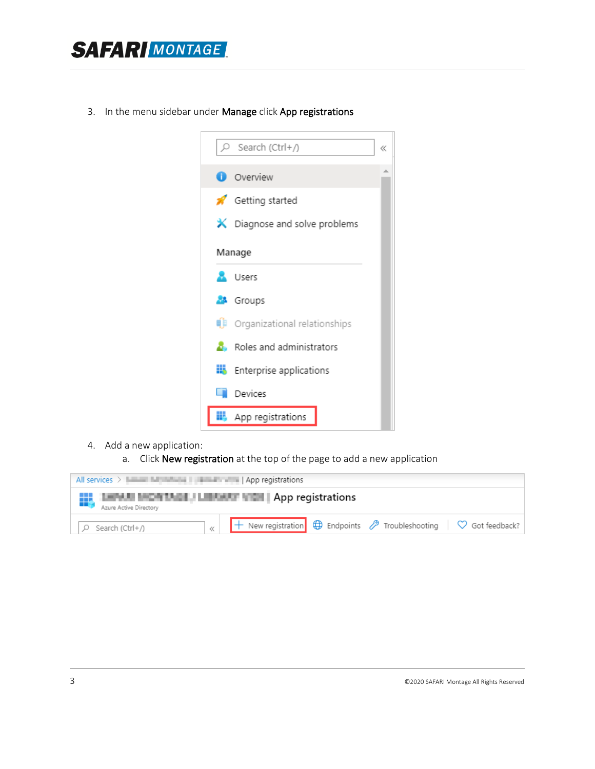

3. In the menu sidebar under Manage click App registrations



- 4. Add a new application:
	- a. Click New registration at the top of the page to add a new application

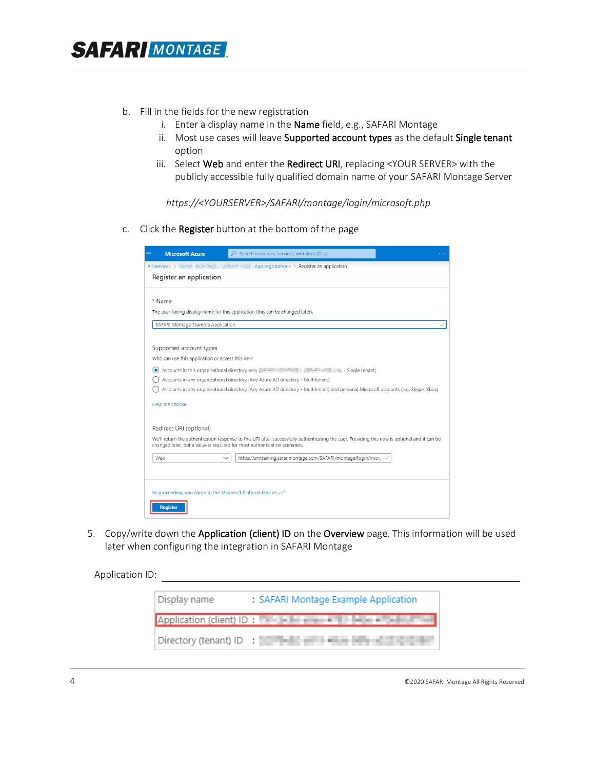- b. Fill in the fields for the new registration
	- i. Enter a display name in the Name field, e.g., SAFARI Montage
	- ii. Most use cases will leave Supported account types as the default Single tenant option
	- iii. Select Web and enter the Redirect URI, replacing <YOUR SERVER> with the publicly accessible fully qualified domain name of your SAFARI Montage Server

*https://<YOURSERVER>/SAFARI/montage/login/microsoft.php*

c. Click the Register button at the bottom of the page

| <b>Microsoft Azure</b><br>$=$                                 | $\mathcal{P}$ Search resources, services, and docs (G+/)                                                                                                                                                                   |  |  |  |  |  |  |
|---------------------------------------------------------------|----------------------------------------------------------------------------------------------------------------------------------------------------------------------------------------------------------------------------|--|--|--|--|--|--|
| All services >                                                | $\frac{1}{2}$ <b>EXECUTE:</b> App registrations $\frac{1}{2}$ Register an application                                                                                                                                      |  |  |  |  |  |  |
| Register an application                                       |                                                                                                                                                                                                                            |  |  |  |  |  |  |
|                                                               |                                                                                                                                                                                                                            |  |  |  |  |  |  |
| * Name                                                        |                                                                                                                                                                                                                            |  |  |  |  |  |  |
|                                                               | The user-facing display name for this application (this can be changed later).                                                                                                                                             |  |  |  |  |  |  |
|                                                               | SAFARI Montage Example Application                                                                                                                                                                                         |  |  |  |  |  |  |
|                                                               |                                                                                                                                                                                                                            |  |  |  |  |  |  |
| Supported account types                                       |                                                                                                                                                                                                                            |  |  |  |  |  |  |
| Who can use this application or access this API?              |                                                                                                                                                                                                                            |  |  |  |  |  |  |
| o                                                             |                                                                                                                                                                                                                            |  |  |  |  |  |  |
|                                                               | Accounts in any organizational directory (Any Azure AD directory - Multitenant)                                                                                                                                            |  |  |  |  |  |  |
|                                                               | Accounts in any organizational directory (Any Azure AD directory - Multitenant) and personal Microsoft accounts (e.g. Skype, Xbox)                                                                                         |  |  |  |  |  |  |
| Help me choose                                                |                                                                                                                                                                                                                            |  |  |  |  |  |  |
|                                                               |                                                                                                                                                                                                                            |  |  |  |  |  |  |
| Redirect URI (optional)                                       |                                                                                                                                                                                                                            |  |  |  |  |  |  |
|                                                               | We'll return the authentication response to this URI after successfully authenticating the user. Providing this now is optional and it can be<br>changed later, but a value is required for most authentication scenarios. |  |  |  |  |  |  |
| Web                                                           | https://smtraining.safarimontage.com/SAFARI/montage/login/micr                                                                                                                                                             |  |  |  |  |  |  |
|                                                               |                                                                                                                                                                                                                            |  |  |  |  |  |  |
|                                                               |                                                                                                                                                                                                                            |  |  |  |  |  |  |
| By proceeding, you agree to the Microsoft Platform Policies ~ |                                                                                                                                                                                                                            |  |  |  |  |  |  |
| <b>Register</b>                                               |                                                                                                                                                                                                                            |  |  |  |  |  |  |

5. Copy/write down the Application (client) ID on the Overview page. This information will be used later when configuring the integration in SAFARI Montage

Application ID:

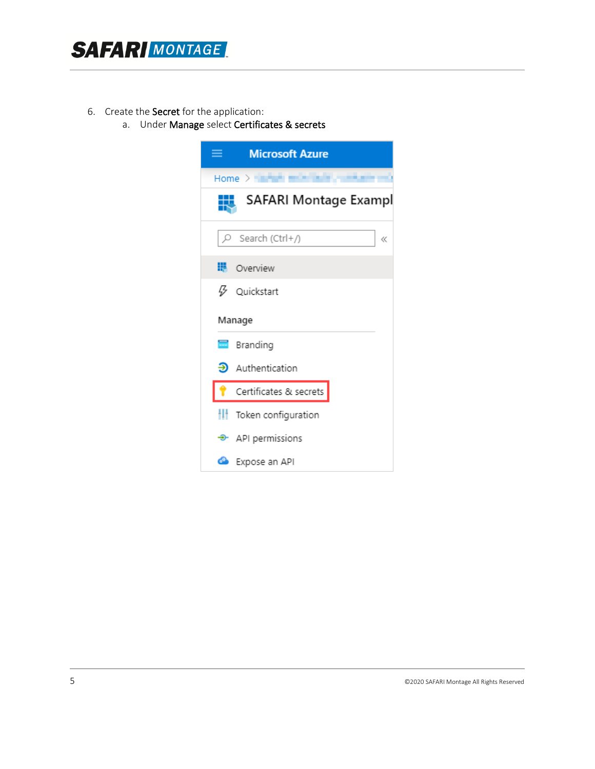

- 6. Create the Secret for the application:
	- a. Under Manage select Certificates & secrets

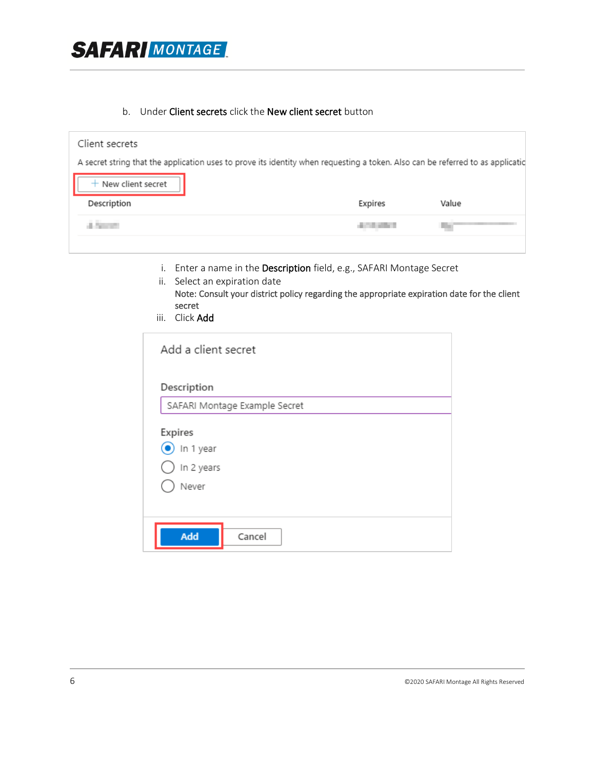

#### b. Under Client secrets click the New client secret button

| Client secrets        |                                                                                                                                |       |
|-----------------------|--------------------------------------------------------------------------------------------------------------------------------|-------|
|                       | A secret string that the application uses to prove its identity when requesting a token. Also can be referred to as applicatic |       |
| $+$ New client secret |                                                                                                                                |       |
| Description           | Expires                                                                                                                        | Value |
|                       |                                                                                                                                |       |
|                       |                                                                                                                                |       |

- i. Enter a name in the Description field, e.g., SAFARI Montage Secret
- ii. Select an expiration date Note: Consult your district policy regarding the appropriate expiration date for the client secret
- iii. Click Add

| Description | SAFARI Montage Example Secret |  |  |
|-------------|-------------------------------|--|--|
| Expires     |                               |  |  |
| In 1 year   |                               |  |  |
| In 2 years  |                               |  |  |
| Never       |                               |  |  |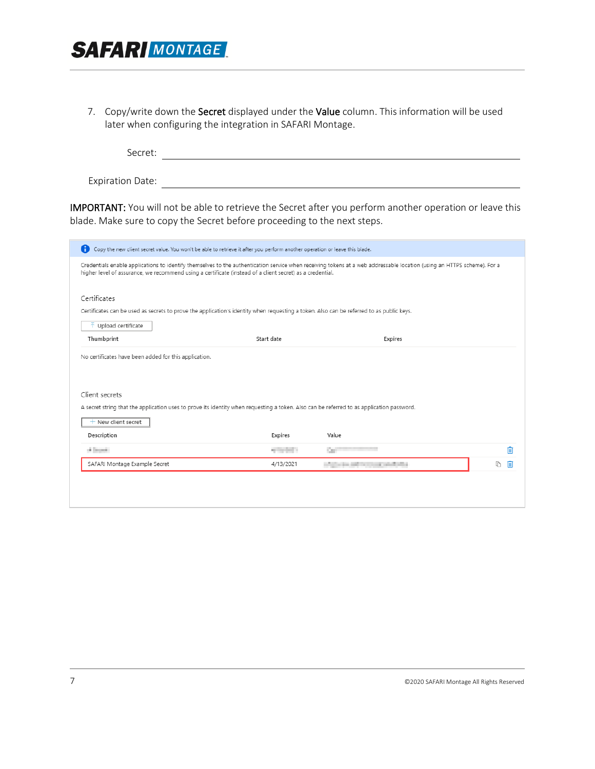

7. Copy/write down the Secret displayed under the Value column. This information will be used later when configuring the integration in SAFARI Montage.

Secret: <u>with the secretive contract of the secretive contract of the secretive contract of the secretive contract of the secretive contract of the secretive contract of the secretive contract of the secretive contract of </u> Expiration Date:

IMPORTANT: You will not be able to retrieve the Secret after you perform another operation or leave this blade. Make sure to copy the Secret before proceeding to the next steps.

| No certificates have been added for this application. |                                                                                                                                          |         |  |
|-------------------------------------------------------|------------------------------------------------------------------------------------------------------------------------------------------|---------|--|
| Thumbprint                                            | Start date                                                                                                                               | Expires |  |
| $\bar{\uparrow}$ Upload certificate                   |                                                                                                                                          |         |  |
|                                                       | Certificates can be used as secrets to prove the application's identity when requesting a token. Also can be referred to as public keys. |         |  |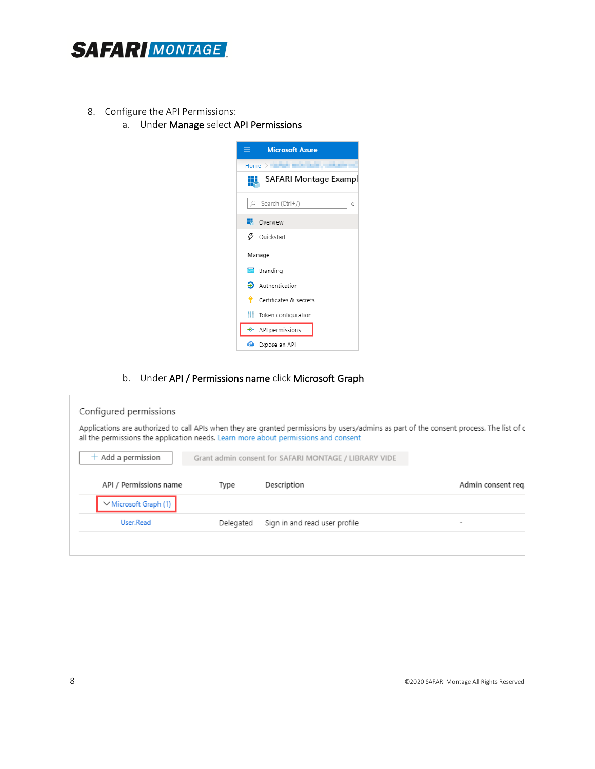

- 8. Configure the API Permissions:
	- a. Under Manage select API Permissions



b. Under API / Permissions name click Microsoft Graph

| Type      | Description                   | Admin consent reg                                                                                                                                                                                                                                                                        |
|-----------|-------------------------------|------------------------------------------------------------------------------------------------------------------------------------------------------------------------------------------------------------------------------------------------------------------------------------------|
|           |                               |                                                                                                                                                                                                                                                                                          |
| Delegated | Sign in and read user profile |                                                                                                                                                                                                                                                                                          |
|           |                               |                                                                                                                                                                                                                                                                                          |
|           |                               | Applications are authorized to call APIs when they are granted permissions by users/admins as part of the consent process. The list of d<br>all the permissions the application needs. Learn more about permissions and consent<br>Grant admin consent for SAFARI MONTAGE / LIBRARY VIDE |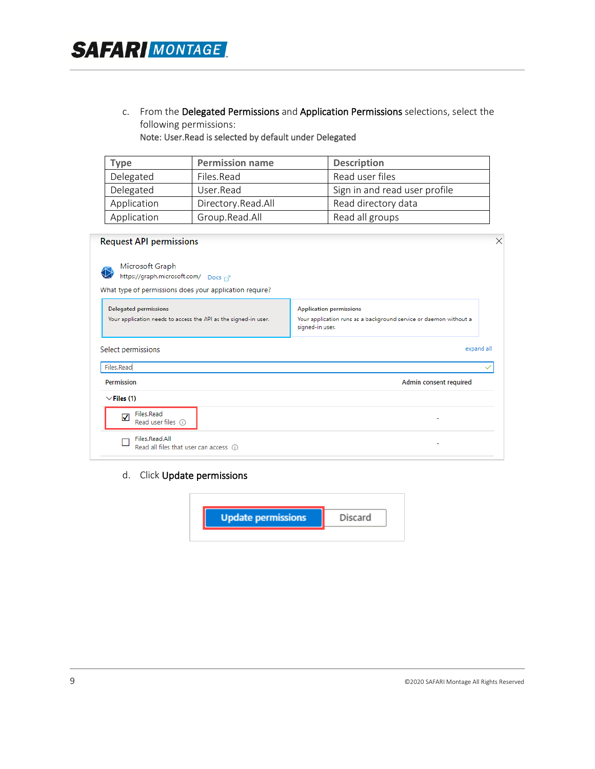c. From the Delegated Permissions and Application Permissions selections, select the following permissions:

Note: User.Read is selected by default under Delegated

**SAFARI MONTAGE** 

| <b>Type</b>                       | <b>Permission name</b> | <b>Description</b>            |  |
|-----------------------------------|------------------------|-------------------------------|--|
| Delegated                         | Files.Read             | Read user files               |  |
| Delegated<br>User.Read            |                        | Sign in and read user profile |  |
| Application<br>Directory.Read.All |                        | Read directory data           |  |
| Application                       | Group.Read.All         | Read all groups               |  |

| <b>Request API permissions</b>                                                                                  | $\times$                                                                                                               |
|-----------------------------------------------------------------------------------------------------------------|------------------------------------------------------------------------------------------------------------------------|
| Microsoft Graph<br>https://graph.microsoft.com/ Docs<br>What type of permissions does your application require? |                                                                                                                        |
| <b>Delegated permissions</b><br>Your application needs to access the API as the signed-in user.                 | <b>Application permissions</b><br>Your application runs as a background service or daemon without a<br>signed-in user. |
| Select permissions                                                                                              | expand all                                                                                                             |
| Files.Read                                                                                                      |                                                                                                                        |
| <b>Permission</b>                                                                                               | Admin consent required                                                                                                 |
| $\vee$ Files (1)                                                                                                |                                                                                                                        |
| Files.Read<br>叼<br>Read user files (i)                                                                          |                                                                                                                        |
| Files.Read.All<br>Read all files that user can access (i)                                                       |                                                                                                                        |

d. Click Update permissions

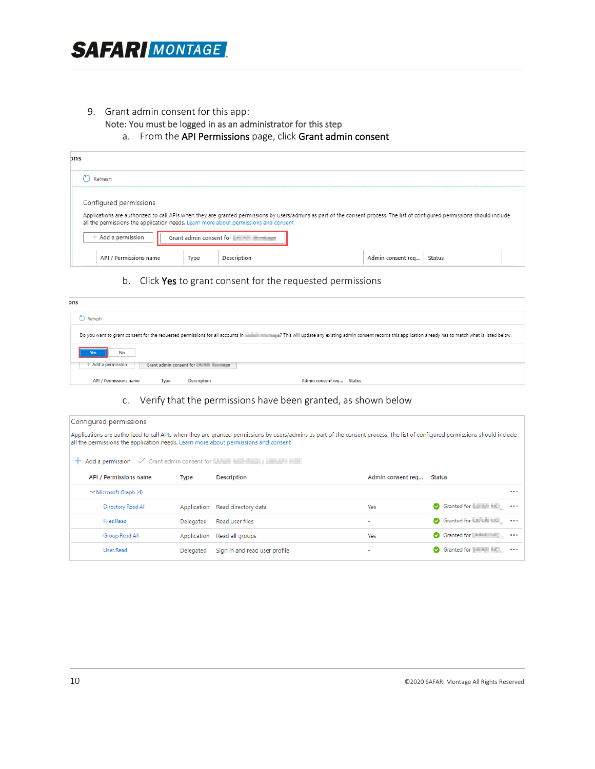

#### 9. Grant admin consent for this app:

- Note: You must be logged in as an administrator for this step
	- a. From the API Permissions page, click Grant admin consent

| ons                                                                                                                                                                                                                                                                                                                                              |                             |
|--------------------------------------------------------------------------------------------------------------------------------------------------------------------------------------------------------------------------------------------------------------------------------------------------------------------------------------------------|-----------------------------|
| Refresh                                                                                                                                                                                                                                                                                                                                          |                             |
| Configured permissions<br>Applications are authorized to call APIs when they are granted permissions by users/admins as part of the consent process. The list of configured permissions should include<br>all the permissions the application needs. Learn more about permissions and consent<br>$+$ Add a permission<br>Grant admin consent for |                             |
| API / Permissions name<br>Type<br>Description                                                                                                                                                                                                                                                                                                    | Admin consent req<br>Status |

#### b. Click Yes to grant consent for the requested permissions

| ons                                                             |                                                                                                                                                                                 |
|-----------------------------------------------------------------|---------------------------------------------------------------------------------------------------------------------------------------------------------------------------------|
| Refresh                                                         |                                                                                                                                                                                 |
|                                                                 | Do you want to grant consent for the requested permissions for all accounts in the security and min coasent records this application already has to match what is listed below. |
| No<br>Yes                                                       |                                                                                                                                                                                 |
| $+$ Add a permission<br>Grant admin consent for the contract of |                                                                                                                                                                                 |
| API / Permissions name<br>Description<br>Type                   | Admin consent req Status                                                                                                                                                        |

#### c. Verify that the permissions have been granted, as shown below

| Configured permissions                                                                                                                                                                                                                                              |             |                               |                   |                                    |  |  |  |  |
|---------------------------------------------------------------------------------------------------------------------------------------------------------------------------------------------------------------------------------------------------------------------|-------------|-------------------------------|-------------------|------------------------------------|--|--|--|--|
| Applications are authorized to call APIs when they are granted permissions by users/admins as part of the consent process. The list of configured permissions should include<br>all the permissions the application needs. Learn more about permissions and consent |             |                               |                   |                                    |  |  |  |  |
| $+$ Add a permission $\sqrt{\ }$ Grant admin consent for Library business in the set of $\mathbb{R}$                                                                                                                                                                |             |                               |                   |                                    |  |  |  |  |
| <b>API / Permissions name</b>                                                                                                                                                                                                                                       | Type        | <b>Description</b>            | Admin consent req | Status                             |  |  |  |  |
| $\vee$ Microsoft Graph (4)                                                                                                                                                                                                                                          |             |                               |                   |                                    |  |  |  |  |
| Directory.Read.All                                                                                                                                                                                                                                                  | Application | Read directory data           | Yes               | Granted for <b>FIRMS MAGE</b><br>  |  |  |  |  |
| Files.Read                                                                                                                                                                                                                                                          | Delegated   | Read user files               |                   | Granted for La La La La<br>        |  |  |  |  |
| Group.Read.All                                                                                                                                                                                                                                                      | Application | Read all groups               | <b>Yes</b>        | Granted for <b>Manufacture</b><br> |  |  |  |  |
| User.Read                                                                                                                                                                                                                                                           | Delegated   | Sign in and read user profile |                   | Granted for <b>House Hotel</b><br> |  |  |  |  |
|                                                                                                                                                                                                                                                                     |             |                               |                   |                                    |  |  |  |  |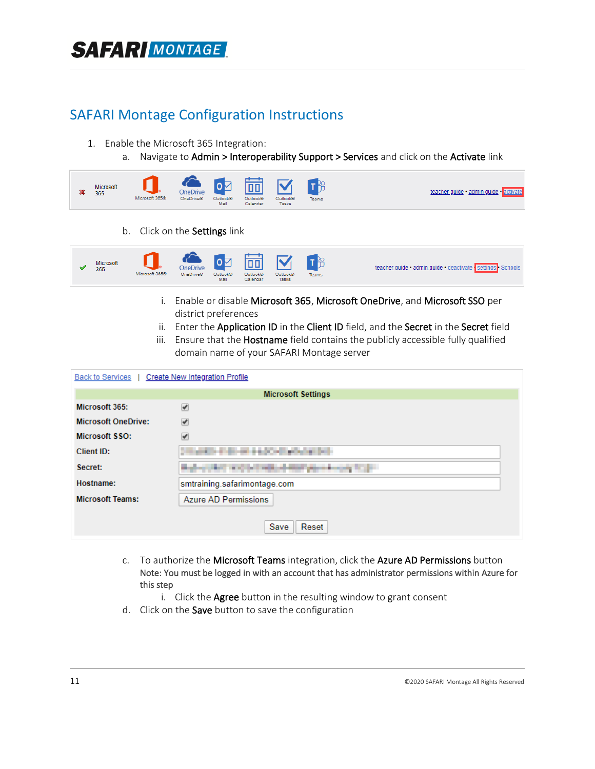## **SAFAR MONTAGE**

## SAFARI Montage Configuration Instructions

- 1. Enable the Microsoft 365 Integration:
	- a. Navigate to Admin > Interoperability Support > Services and click on the Activate link



b. Click on the Settings link



- i. Enable or disable Microsoft 365, Microsoft OneDrive, and Microsoft SSO per district preferences
- ii. Enter the Application ID in the Client ID field, and the Secret in the Secret field
- iii. Ensure that the Hostname field contains the publicly accessible fully qualified domain name of your SAFARI Montage server

| Back to Services           | <b>Create New Integration Profile</b>                                   |  |  |  |  |  |  |
|----------------------------|-------------------------------------------------------------------------|--|--|--|--|--|--|
|                            | <b>Microsoft Settings</b>                                               |  |  |  |  |  |  |
| Microsoft 365:             | $\overline{\mathcal{C}}$                                                |  |  |  |  |  |  |
| <b>Microsoft OneDrive:</b> | ✔                                                                       |  |  |  |  |  |  |
| Microsoft SSO:             | ✔                                                                       |  |  |  |  |  |  |
| Client ID:                 |                                                                         |  |  |  |  |  |  |
| Secret:                    | and the property of the control of<br><b>The Company of the Company</b> |  |  |  |  |  |  |
| Hostname:                  | smtraining.safarimontage.com                                            |  |  |  |  |  |  |
| <b>Microsoft Teams:</b>    | Azure AD Permissions                                                    |  |  |  |  |  |  |
|                            | Reset<br>Save                                                           |  |  |  |  |  |  |

- c. To authorize the Microsoft Teams integration, click the Azure AD Permissions button Note: You must be logged in with an account that has administrator permissions within Azure for this step
	- i. Click the **Agree** button in the resulting window to grant consent
- d. Click on the Save button to save the configuration